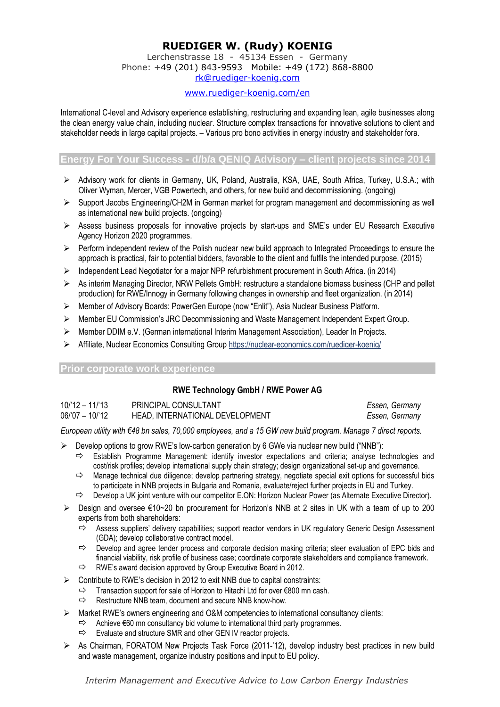# **RUEDIGER W. (Rudy) KOENIG**

Lerchenstrasse 18 - 45134 Essen - Germany Phone: +49 (201) 843-9593 Mobile: +49 (172) 868-8800 [rk@ruediger-koenig.com](mailto:rk@ruediger-koenig.com)

### [www.ruediger-koenig.com/en](http://www.ruediger-koenig.com/en)

International C-level and Advisory experience establishing, restructuring and expanding lean, agile businesses along the clean energy value chain, including nuclear. Structure complex transactions for innovative solutions to client and stakeholder needs in large capital projects. – Various pro bono activities in energy industry and stakeholder fora.

## **Energy For Your Success - d/b/a QENIQ Advisory – client projects since 2014**

- ➢ Advisory work for clients in Germany, UK, Poland, Australia, KSA, UAE, South Africa, Turkey, U.S.A.; with Oliver Wyman, Mercer, VGB Powertech, and others, for new build and decommissioning. (ongoing)
- ➢ Support Jacobs Engineering/CH2M in German market for program management and decommissioning as well as international new build projects. (ongoing)
- ➢ Assess business proposals for innovative projects by start-ups and SME's under EU Research Executive Agency Horizon 2020 programmes.
- ➢ Perform independent review of the Polish nuclear new build approach to Integrated Proceedings to ensure the approach is practical, fair to potential bidders, favorable to the client and fulfils the intended purpose. (2015)
- ➢ Independent Lead Negotiator for a major NPP refurbishment procurement in South Africa. (in 2014)
- ➢ As interim Managing Director, NRW Pellets GmbH: restructure a standalone biomass business (CHP and pellet production) for RWE/Innogy in Germany following changes in ownership and fleet organization. (in 2014)
- ➢ Member of Advisory Boards: PowerGen Europe (now "Enlit"), Asia Nuclear Business Platform.
- ➢ Member EU Commission's JRC Decommissioning and Waste Management Independent Expert Group.
- ➢ Member DDIM e.V. (German international Interim Management Association), Leader In Projects.
- ➢ Affiliate, Nuclear Economics Consulting Grou[p https://nuclear-economics.com/ruediger-koenig/](https://nuclear-economics.com/ruediger-koenig/)

#### **Prior corporate work experience**

## **RWE Technology GmbH / RWE Power AG**

| 10/'12 - 11/'13 | PRINCIPAL CONSULTANT            | Essen, Germany |
|-----------------|---------------------------------|----------------|
| 06/'07 – 10/'12 | HEAD, INTERNATIONAL DEVELOPMENT | Essen, Germany |

*European utility with €48 bn sales, 70,000 employees, and a 15 GW new build program. Manage 7 direct reports.*

- $\triangleright$  Develop options to grow RWE's low-carbon generation by 6 GWe via nuclear new build ("NNB"):
	- $\Rightarrow$  Establish Programme Management: identify investor expectations and criteria; analyse technologies and cost/risk profiles; develop international supply chain strategy; design organizational set-up and governance.
	- $\Rightarrow$  Manage technical due diligence; develop partnering strategy, negotiate special exit options for successful bids to participate in NNB projects in Bulgaria and Romania, evaluate/reject further projects in EU and Turkey.
	- $\Rightarrow$  Develop a UK joint venture with our competitor E.ON: Horizon Nuclear Power (as Alternate Executive Director).
- ➢ Design and oversee €10~20 bn procurement for Horizon's NNB at 2 sites in UK with a team of up to 200 experts from both shareholders:
	- $\Rightarrow$  Assess suppliers' delivery capabilities; support reactor vendors in UK regulatory Generic Design Assessment (GDA); develop collaborative contract model.
	- $\Rightarrow$  Develop and agree tender process and corporate decision making criteria; steer evaluation of EPC bids and financial viability, risk profile of business case; coordinate corporate stakeholders and compliance framework.
	- $\Rightarrow$  RWE's award decision approved by Group Executive Board in 2012.
- ➢ Contribute to RWE's decision in 2012 to exit NNB due to capital constraints:
	- Transaction support for sale of Horizon to Hitachi Ltd for over €800 mn cash.
	- $\Rightarrow$  Restructure NNB team, document and secure NNB know-how.
- ➢ Market RWE's owners engineering and O&M competencies to international consultancy clients:
	- $\Rightarrow$  Achieve  $\epsilon$ 60 mn consultancy bid volume to international third party programmes.
	- $\Rightarrow$  Evaluate and structure SMR and other GEN IV reactor projects.
- ➢ As Chairman, FORATOM New Projects Task Force (2011-'12), develop industry best practices in new build and waste management, organize industry positions and input to EU policy.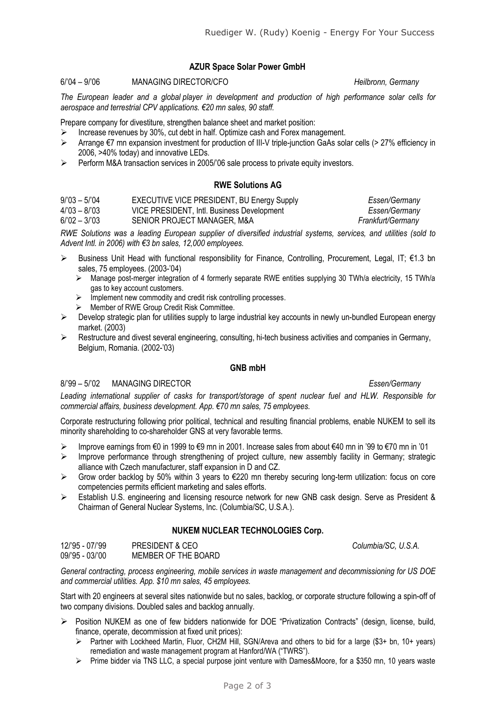## **AZUR Space Solar Power GmbH**

#### 6/'04 – 9/'06 MANAGING DIRECTOR/CFO *Heilbronn, Germany*

*The European leader and a global player in development and production of high performance solar cells for aerospace and terrestrial CPV applications. €20 mn sales, 90 staff.*

Prepare company for divestiture, strengthen balance sheet and market position:

- ➢ Increase revenues by 30%, cut debt in half. Optimize cash and Forex management.
- ➢ Arrange €7 mn expansion investment for production of III-V triple-junction GaAs solar cells (> 27% efficiency in 2006, >40% today) and innovative LEDs.
- ➢ Perform M&A transaction services in 2005/'06 sale process to private equity investors.

## **RWE Solutions AG**

| $9/03 - 5/04$ | <b>EXECUTIVE VICE PRESIDENT, BU Energy Supply</b> | Essen/Germany     |
|---------------|---------------------------------------------------|-------------------|
| $4/03 - 8/03$ | VICE PRESIDENT, Intl. Business Development        | Essen/Germany     |
| $6/02 - 3/03$ | SENIOR PROJECT MANAGER. M&A                       | Frankfurt/Germany |

*RWE Solutions was a leading European supplier of diversified industrial systems, services, and utilities (sold to Advent Intl. in 2006) with €3 bn sales, 12,000 employees.*

- $▶$  Business Unit Head with functional responsibility for Finance, Controlling, Procurement, Legal, IT; €1.3 bn sales, 75 employees. (2003-'04)
	- ➢ Manage post-merger integration of 4 formerly separate RWE entities supplying 30 TWh/a electricity, 15 TWh/a gas to key account customers.
	- ➢ Implement new commodity and credit risk controlling processes.
	- ➢ Member of RWE Group Credit Risk Committee.
- $\triangleright$  Develop strategic plan for utilities supply to large industrial key accounts in newly un-bundled European energy market. (2003)
- ➢ Restructure and divest several engineering, consulting, hi-tech business activities and companies in Germany, Belgium, Romania. (2002-'03)

### **GNB mbH**

#### 8/'99 – 5/'02 MANAGING DIRECTOR *Essen/Germany*

*Leading international supplier of casks for transport/storage of spent nuclear fuel and HLW. Responsible for commercial affairs, business development. App. €70 mn sales, 75 employees.*

Corporate restructuring following prior political, technical and resulting financial problems, enable NUKEM to sell its minority shareholding to co-shareholder GNS at very favorable terms.

- ➢ Improve earnings from €0 in 1999 to €9 mn in 2001. Increase sales from about €40 mn in '99 to €70 mn in '01
- ➢ Improve performance through strengthening of project culture, new assembly facility in Germany; strategic alliance with Czech manufacturer, staff expansion in D and CZ.
- ➢ Grow order backlog by 50% within 3 years to €220 mn thereby securing long-term utilization: focus on core competencies permits efficient marketing and sales efforts.
- ➢ Establish U.S. engineering and licensing resource network for new GNB cask design. Serve as President & Chairman of General Nuclear Systems, Inc. (Columbia/SC, U.S.A.).

## **NUKEM NUCLEAR TECHNOLOGIES Corp.**

12/'95 - 07/'99 PRESIDENT & CEO *Columbia/SC, U.S.A.* 09/'95 - 03/'00 MEMBER OF THE BOARD

*General contracting, process engineering, mobile services in waste management and decommissioning for US DOE and commercial utilities. App. \$10 mn sales, 45 employees.*

Start with 20 engineers at several sites nationwide but no sales, backlog, or corporate structure following a spin-off of two company divisions. Doubled sales and backlog annually.

- Position NUKEM as one of few bidders nationwide for DOE "Privatization Contracts" (design, license, build, finance, operate, decommission at fixed unit prices):
	- ➢ Partner with Lockheed Martin, Fluor, CH2M Hill, SGN/Areva and others to bid for a large (\$3+ bn, 10+ years) remediation and waste management program at Hanford/WA ("TWRS").
	- ➢ Prime bidder via TNS LLC, a special purpose joint venture with Dames&Moore, for a \$350 mn, 10 years waste